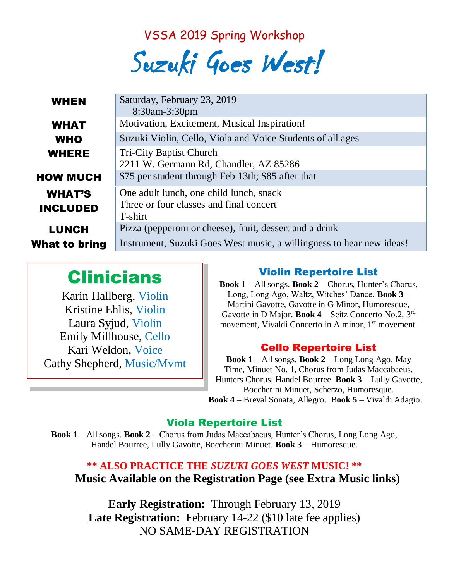VSSA 2019 Spring Workshop

Suzuki Goes West!

| <b>WHEN</b>                      | Saturday, February 23, 2019<br>8:30am-3:30pm                                                  |
|----------------------------------|-----------------------------------------------------------------------------------------------|
| <b>WHAT</b>                      | Motivation, Excitement, Musical Inspiration!                                                  |
| <b>WHO</b>                       | Suzuki Violin, Cello, Viola and Voice Students of all ages                                    |
| <b>WHERE</b>                     | <b>Tri-City Baptist Church</b><br>2211 W. Germann Rd, Chandler, AZ 85286                      |
| <b>HOW MUCH</b>                  | \$75 per student through Feb 13th; \$85 after that                                            |
| <b>WHAT'S</b><br><b>INCLUDED</b> | One adult lunch, one child lunch, snack<br>Three or four classes and final concert<br>T-shirt |
| <b>LUNCH</b>                     | Pizza (pepperoni or cheese), fruit, dessert and a drink                                       |
| What to bring                    | Instrument, Suzuki Goes West music, a willingness to hear new ideas!                          |

# Clinicians

Karin Hallberg, Violin Kristine Ehlis, Violin Laura Syjud, Violin Emily Millhouse, Cello Kari Weldon, Voice Cathy Shepherd, Music/Mvmt

### Violin Repertoire List

**Book 1** – All songs. **Book 2** – Chorus, Hunter's Chorus, Long, Long Ago, Waltz, Witches' Dance. **Book 3** – Martini Gavotte, Gavotte in G Minor, Humoresque, Gavotte in D Major. **Book 4** – Seitz Concerto No.2, 3 rd movement, Vivaldi Concerto in A minor, 1<sup>st</sup> movement.

### Cello Repertoire List

**Book 1** – All songs. **Book 2** – Long Long Ago, May Time, Minuet No. 1, Chorus from Judas Maccabaeus, Hunters Chorus, Handel Bourree. **Book 3** – Lully Gavotte, Boccherini Minuet, Scherzo, Humoresque.

**Book 4** – Breval Sonata, Allegro. B**ook 5** – Vivaldi Adagio.

#### Viola Repertoire List

**Book 1** – All songs. **Book 2** – Chorus from Judas Maccabaeus, Hunter's Chorus, Long Long Ago, Handel Bourree, Lully Gavotte, Boccherini Minuet. **Book 3** – Humoresque.

### **\*\* ALSO PRACTICE THE** *SUZUKI GOES WEST* **MUSIC! \*\* Music Available on the Registration Page (see Extra Music links)**

**Early Registration:** Through February 13, 2019 Late Registration: February 14-22 (\$10 late fee applies) NO SAME-DAY REGISTRATION